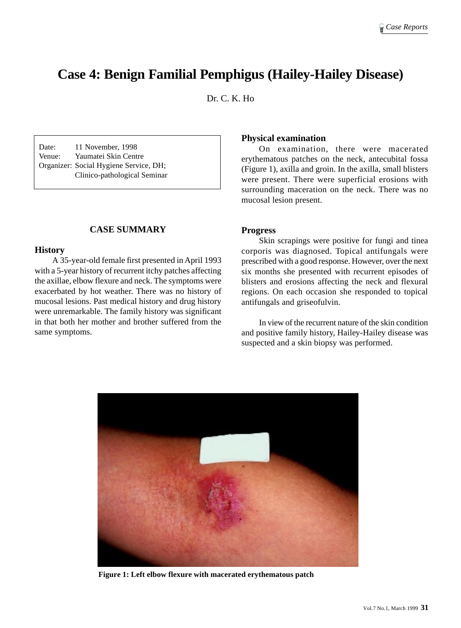# **Case 4: Benign Familial Pemphigus (Hailey-Hailey Disease)**

Dr. C. K. Ho

Date: 11 November, 1998 Venue: Yaumatei Skin Centre Organizer: Social Hygiene Service, DH; Clinico-pathological Seminar

## **CASE SUMMARY**

#### **History**

A 35-year-old female first presented in April 1993 with a 5-year history of recurrent itchy patches affecting the axillae, elbow flexure and neck. The symptoms were exacerbated by hot weather. There was no history of mucosal lesions. Past medical history and drug history were unremarkable. The family history was significant in that both her mother and brother suffered from the same symptoms.

## **Physical examination**

On examination, there were macerated erythematous patches on the neck, antecubital fossa (Figure 1), axilla and groin. In the axilla, small blisters were present. There were superficial erosions with surrounding maceration on the neck. There was no mucosal lesion present.

#### **Progress**

Skin scrapings were positive for fungi and tinea corporis was diagnosed. Topical antifungals were prescribed with a good response. However, over the next six months she presented with recurrent episodes of blisters and erosions affecting the neck and flexural regions. On each occasion she responded to topical antifungals and griseofulvin.

In view of the recurrent nature of the skin condition and positive family history, Hailey-Hailey disease was suspected and a skin biopsy was performed.



**Figure 1: Left elbow flexure with macerated erythematous patch**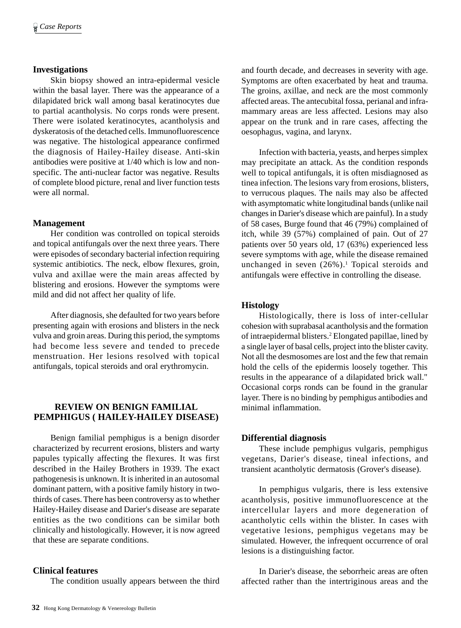## **Investigations**

Skin biopsy showed an intra-epidermal vesicle within the basal layer. There was the appearance of a dilapidated brick wall among basal keratinocytes due to partial acantholysis. No corps ronds were present. There were isolated keratinocytes, acantholysis and dyskeratosis of the detached cells. Immunofluorescence was negative. The histological appearance confirmed the diagnosis of Hailey-Hailey disease. Anti-skin antibodies were positive at 1/40 which is low and nonspecific. The anti-nuclear factor was negative. Results of complete blood picture, renal and liver function tests were all normal.

## **Management**

Her condition was controlled on topical steroids and topical antifungals over the next three years. There were episodes of secondary bacterial infection requiring systemic antibiotics. The neck, elbow flexures, groin, vulva and axillae were the main areas affected by blistering and erosions. However the symptoms were mild and did not affect her quality of life.

After diagnosis, she defaulted for two years before presenting again with erosions and blisters in the neck vulva and groin areas. During this period, the symptoms had become less severe and tended to precede menstruation. Her lesions resolved with topical antifungals, topical steroids and oral erythromycin.

## **REVIEW ON BENIGN FAMILIAL PEMPHIGUS ( HAILEY-HAILEY DISEASE)**

Benign familial pemphigus is a benign disorder characterized by recurrent erosions, blisters and warty papules typically affecting the flexures. It was first described in the Hailey Brothers in 1939. The exact pathogenesis is unknown. It is inherited in an autosomal dominant pattern, with a positive family history in twothirds of cases. There has been controversy as to whether Hailey-Hailey disease and Darier's disease are separate entities as the two conditions can be similar both clinically and histologically. However, it is now agreed that these are separate conditions.

## **Clinical features**

The condition usually appears between the third

and fourth decade, and decreases in severity with age. Symptoms are often exacerbated by heat and trauma. The groins, axillae, and neck are the most commonly affected areas. The antecubital fossa, perianal and inframammary areas are less affected. Lesions may also appear on the trunk and in rare cases, affecting the oesophagus, vagina, and larynx.

Infection with bacteria, yeasts, and herpes simplex may precipitate an attack. As the condition responds well to topical antifungals, it is often misdiagnosed as tinea infection. The lesions vary from erosions, blisters, to verrucous plaques. The nails may also be affected with asymptomatic white longitudinal bands (unlike nail changes in Darier's disease which are painful). In a study of 58 cases, Burge found that 46 (79%) complained of itch, while 39 (57%) complained of pain. Out of 27 patients over 50 years old, 17 (63%) experienced less severe symptoms with age, while the disease remained unchanged in seven  $(26%)$ .<sup>1</sup> Topical steroids and antifungals were effective in controlling the disease.

#### **Histology**

Histologically, there is loss of inter-cellular cohesion with suprabasal acantholysis and the formation of intraepidermal blisters.<sup>2</sup> Elongated papillae, lined by a single layer of basal cells, project into the blister cavity. Not all the desmosomes are lost and the few that remain hold the cells of the epidermis loosely together. This results in the appearance of a dilapidated brick wall." Occasional corps ronds can be found in the granular layer. There is no binding by pemphigus antibodies and minimal inflammation.

## **Differential diagnosis**

These include pemphigus vulgaris, pemphigus vegetans, Darier's disease, tineal infections, and transient acantholytic dermatosis (Grover's disease).

In pemphigus vulgaris, there is less extensive acantholysis, positive immunofluorescence at the intercellular layers and more degeneration of acantholytic cells within the blister. In cases with vegetative lesions, pemphigus vegetans may be simulated. However, the infrequent occurrence of oral lesions is a distinguishing factor.

In Darier's disease, the seborrheic areas are often affected rather than the intertriginous areas and the